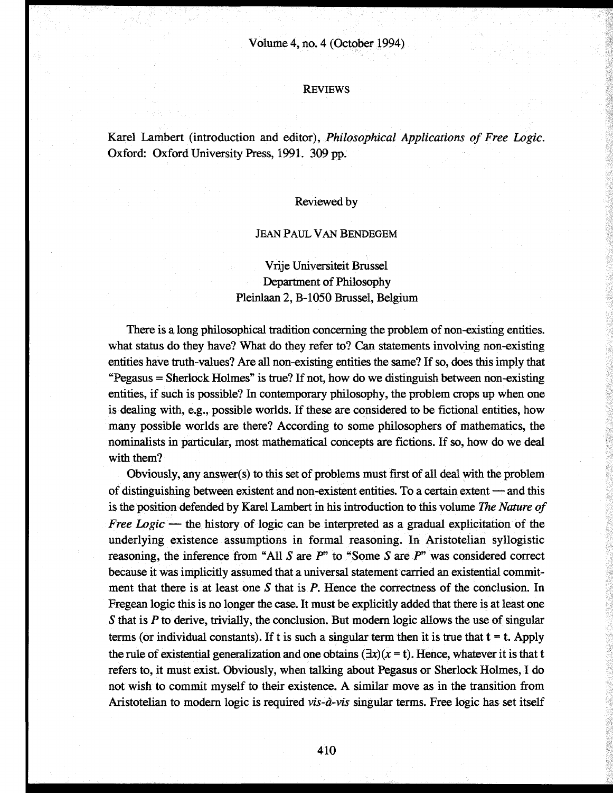## REVIEWS

Karel Lambert (introduction and editor), *Philosophical Applications of Free Logic.* Oxford: Oxford University Press, 1991. 309 pp.

## Reviewed by

#### JEAN PAUL VAN BENDEGEM

# Vrije Universiteit Brüssel Department of Philosophy Pleinlaan 2, B-1050 Brüssel, Belgium

There is a long philosophical tradition concerning the problem of non-existing entities, what status do they have? What do they refer to? Can statements involving non-existing entities have truth-values? Are all non-existing entities the same? If so, does this imply that "Pegasus = Sherlock Holmes" is true? If not, how do we distinguish between non-existing entities, if such is possible? In contemporary philosophy, the problem crops up when one is dealing with, e.g., possible worlds. If these are considered to be fictional entities, how many possible worlds are there? According to some philosophers of mathematics, the nominalists in particular, most mathematical concepts are fictions. If so, how do we deal with them?

Obviously, any answer(s) to this set of problems must first of all deal with the problem of distinguishing between existent and non-existent entities. To a certain extent — and this is the position defended by Karel Lambert in his introduction to this volume *The Nature of Free Logic* — the history of logic can be interpreted as a gradual explicitation of the underlying existence assumptions in formal reasoning. In Aristotelian syllogistic reasoning, the inference from "All 5 are *P"* to "Some 5 are *P"* was considered correct because it was implicitly assumed that a universal statement carried an existential commitment that there is at least one 5 that is *P.* Hence the correctness of the conclusion. In Fregean logic this is no longer the case. It must be explicitly added that there is at least one 5 that is *P* to derive, trivially, the conclusion. But modern logic allows the use of singular terms (or individual constants). If t is such a singular term then it is true that  $t = t$ . Apply the rule of existential generalization and one obtains  $(\exists x)(x = t)$ . Hence, whatever it is that t refers to, it must exist. Obviously, when talking about Pegasus or Sherlock Holmes, I do not wish to commit myself to their existence. A similar move as in the transition from Aristotelian to modern logic is required *vis-à-vis* singular terms. Free logic has set itself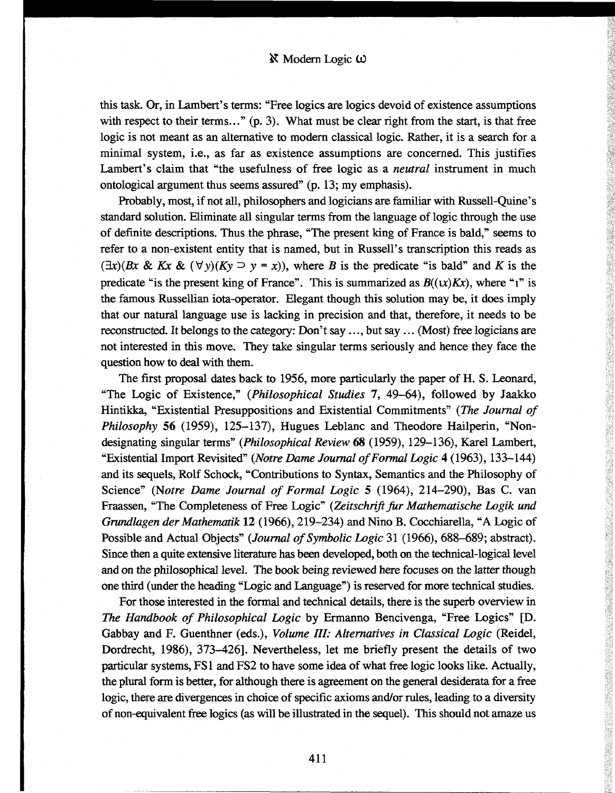this task. Or, in Lambert's terms: "Free logics are logics devoid of existence assumptions with respect to their terms..." (p. 3). What must be clear right from the start, is that free logic is not meant as an alternative to modern classical logic. Rather, it is a search for a minimal system, i.e., as far as existence assumptions are concerned. This justifies Lambert's claim that "the usefulness of free logic as a *neutral* instrument in much ontological argument thus seems assured" (p. 13; my emphasis).

Probably, most, if not all, philosophers and logicians are familiar with Russell-Quine's standard solution. Eliminate all singular terms from the language of logic through the use of definite descriptions. Thus the phrase, "The present king of France is bald," seems to refer to a non-existent entity that is named, but in Russell's transcription this reads as  $(\exists x)(Bx \& Kx \& (\forall y)(Ky \supset y = x))$ , where *B* is the predicate "is bald" and *K* is the predicate "is the present king of France". This is summarized as  $B((x)Kx)$ , where "i" is the famous Russellian iota-operator. Elegant though this solution may be, it does imply that our natural language use is lacking in precision and that, therefore, it needs to be reconstructed. It belongs to the category: Don't say ..., but say ... (Most) free logicians are not interested in this move. They take singular terms seriously and hence they face the question how to deal with them.

The first proposal dates back to 1956, more particularly the paper of H. S. Leonard, "The Logic of Existence," *(Philosophical Studies* 7, 49-64), followed by Jaakko Hintikka, "Existential Presuppositions and Existential Commitments" *(The Journal of Philosophy* 56 (1959), 125-137), Hugues Leblanc and Theodore Hailperin, "Nondesignating singular terms" *(Philosophical Review* 68 (1959), 129-136), Karel Lambert, "Existential Import Revisited" *(Notre Dame Journal of Formal Logic* 4 (1963), 133-144) and its sequels, Rolf Schock, "Contributions to Syntax, Semantics and the Philosophy of Science" *(Notre Dame Journal of Formal Logic* 5 (1964), 214-290), Bas С. van Fraassen, "The Completeness of Free Logic" *(Zeitschrift fur Mathematische Logik und Grundlagen der Mathematik* 12 (1966), 219-234) and Nino В. Cocchiarella, "A Logic of Possible and Actual Objects" *(Journal of Symbolic Logic* 31 (1966), 688-689; abstract). Since then a quite extensive literature has been developed, both on the technical-logical level and on the philosophical level. The book being reviewed here focuses on the latter though one third (under the heading "Logic and Language") is reserved for more technical studies.

For those interested in the formal and technical details, there is the superb overview in *The Handbook of Philosophical Logic* by Ermanno Bencivenga, "Free Logics" [D. Gabbay and F. Guenthner (eds.), *Volume III: Alternatives in Classical Logic* (Reidel, Dordrecht, 1986), 373-426]. Nevertheless, let me briefly present the details of two particular systems, FS1 and FS2 to have some idea of what free logic looks like. Actually, the plural form is better, for although there is agreement on the general desiderata for a free logic, there are divergences in choice of specific axioms and/or rules, leading to a diversity of non-equivalent free logics (as will be illustrated in the sequel). This should not amaze us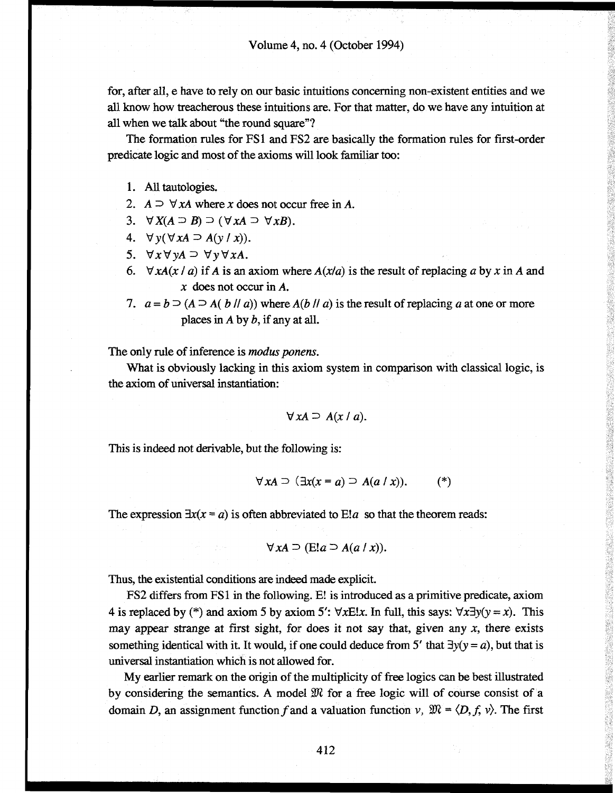for, after all, e have to rely on our basic intuitions concerning non-existent entities and we all know how treacherous these intuitions are. For that matter, do we have any intuition at all when we talk about "the round square"?

The formation rules for FS1 and FS2 are basically the formation rules for first-order predicate logic and most of the axioms will look familiar too:

- 1. All tautologies.
- 2.  $A \supset \forall xA$  where *x* does not occur free in *A*.
- 3.  $\forall X(A \supset B) \supset (\forall xA \supset \forall xB).$
- 4.  $\forall y (\forall x A \supseteq A(y/x)).$
- 5.  $\forall x \forall y A \supset \forall y \forall x A$ .
- 6.  $\forall x A(x \mid a)$  if A is an axiom where  $A(x \mid a)$  is the result of replacing a by x in A and *x* does not occur in A.
- 7.  $a = b \supset (A \supset A(b \mid a))$  where  $A(b \mid a)$  is the result of replacing a at one or more places in A by *b,* if any at all.

The only rule of inference is *modus ponens.*

What is obviously lacking in this axiom system in comparison with classical logic, is the axiom of universal instantiation:

$$
\forall x A \supseteq A(x \mid a).
$$

This is indeed not derivable, but the following is:

$$
\forall x A \supset (\exists x (x = a) \supset A(a \mid x)). \qquad (*)
$$

The expression  $\exists x(x = a)$  is often abbreviated to E!*a* so that the theorem reads:

$$
\forall x A \supset (\text{E}:a \supset A(a/x)).
$$

Thus, the existential conditions are indeed made explicit.

FS2 differs from FS1 in the following. E! is introduced as a primitive predicate, axiom 4 is replaced by (\*) and axiom 5 by axiom 5':  $\forall x \in \mathbb{R}$ . In full, this says:  $\forall x \exists y(y = x)$ . This may appear strange at first sight, for does it not say that, given any *x,* there exists something identical with it. It would, if one could deduce from 5' that  $\exists y(y = a)$ , but that is universal instantiation which is not allowed for.

My earlier remark on the origin of the multiplicity of free logics can be best illustrated by considering the semantics. A model *ffi* for a free logic will of course consist of a domain *D*, an assignment function f and a valuation function v,  $\mathfrak{M} = \langle D, f, v \rangle$ . The first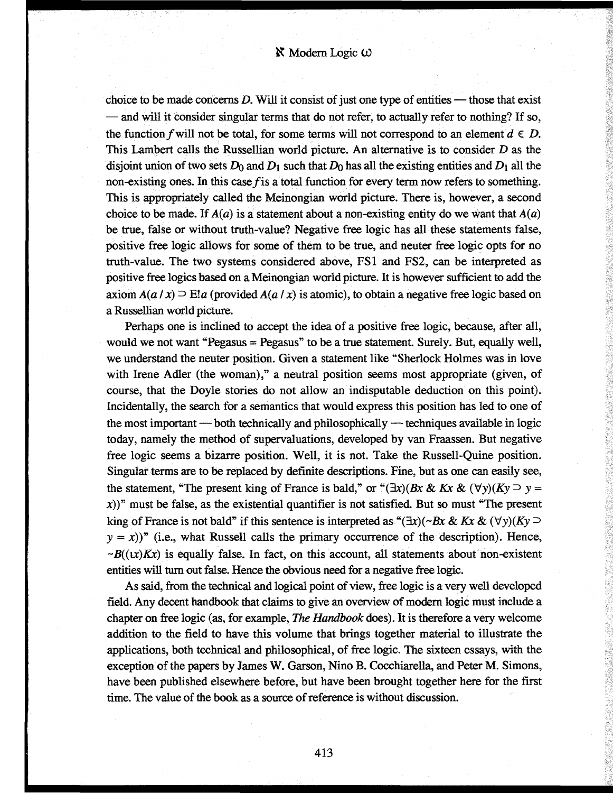choice to be made concerns *D.* Will it consist of just one type of entities — those that exist — and will it consider singular terms that do not refer, to actually refer to nothing? If so, the function f will not be total, for some terms will not correspond to an element  $d \in D$ . This Lambert calls the Russellian world picture. An alternative is to consider *D* as the disjoint union of two sets  $D_0$  and  $D_1$  such that  $D_0$  has all the existing entities and  $D_1$  all the non-existing ones. In this case  $f$  is a total function for every term now refers to something. This is appropriately called the Meinongian world picture. There is, however, a second choice to be made. If  $A(a)$  is a statement about a non-existing entity do we want that  $A(a)$ be true, false or without truth-value? Negative free logic has all these statements false, positive free logic allows for some of them to be true, and neuter free logic opts for no truth-value. The two systems considered above, FS1 and FS2, can be interpreted as positive free logics based on a Meinongian world picture. It is however sufficient to add the axiom  $A(a/x) \supseteq E!a$  (provided  $A(a/x)$  is atomic), to obtain a negative free logic based on a Russellian world picture.

Perhaps one is inclined to accept the idea of a positive free logic, because, after all, would we not want "Pegasus = Pegasus" to be a true statement. Surely. But, equally well, we understand the neuter position. Given a statement like "Sherlock Holmes was in love with Irene Adler (the woman)," a neutral position seems most appropriate (given, of course, that the Doyle stories do not allow an indisputable deduction on this point). Incidentally, the search for a semantics that would express this position has led to one of the most important — both technically and philosophically — techniques available in logic today, namely the method of supervaluations, developed by van Fraassen. But negative free logic seems a bizarre position. Well, it is not. Take the Russell-Quine position. Singular terms are to be replaced by definite descriptions. Fine, but as one can easily see, the statement, "The present king of France is bald," or " $(\exists x)(Bx \& Kx \& (\forall y)(Ky \supset y =$  $(x)$ )" must be false, as the existential quantifier is not satisfied. But so must "The present king of France is not bald" if this sentence is interpreted as " $(\exists x)(\neg Bx \& Kx \& (\forall y)(Ky \supseteq$  $y = x$ )<sup>\*</sup> (i.e., what Russell calls the primary occurrence of the description). Hence,  $\neg B((x)Kx)$  is equally false. In fact, on this account, all statements about non-existent entities will turn out false. Hence the obvious need for a negative free logic.

As said, from the technical and logical point of view, free logic is a very well developed field. Any decent handbook that claims to give an overview of modern logic must include a chapter on free logic (as, for example, *The Handbook* does). It is therefore a very welcome addition to the field to have this volume that brings together material to illustrate the applications, both technical and philosophical, of free logic. The sixteen essays, with the exception of the papers by James W. Garson, Nino B. Cocchiarella, and Peter M. Simons, have been published elsewhere before, but have been brought together here for the first time. The value of the book as a source of reference is without discussion.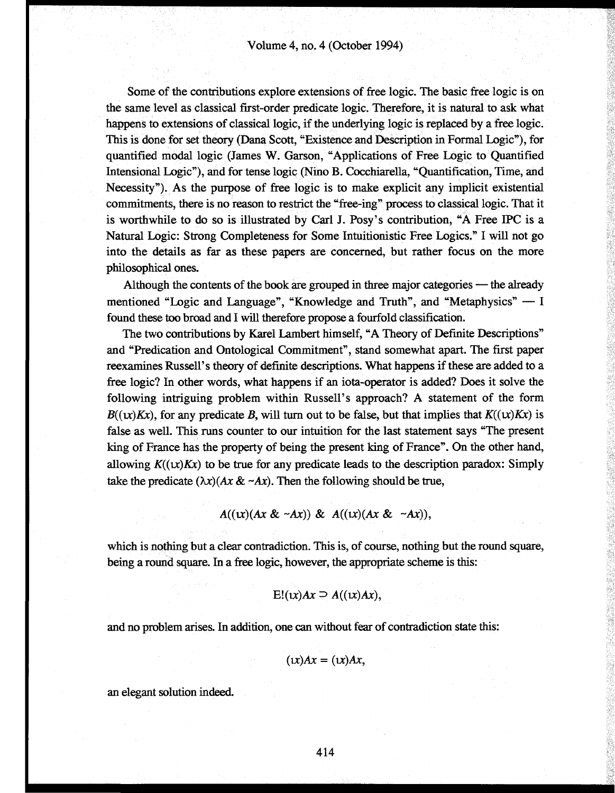Some of the contributions explore extensions of free logic. The basic free logic is on the same level as classical first-order predicate logic. Therefore, it is natural to ask what happens to extensions of classical logic, if the underlying logic is replaced by a free logic. This is done for set theory (Dana Scott, "Existence and Description in Formal Logic"), for quantified modal logic (James W. Garson, "Applications of Free Logic to Quantified Intensional Logic"), and for tense logic (Nino B. Cocchiarella, "Quantification, Time, and Necessity"). As the purpose of free logic is to make explicit any implicit existential commitments, there is no reason to restrict the "free-ing" process to classical logic. That it is worthwhile to do so is illustrated by Carl J. Posy's contribution, "A Free IPC is a Natural Logic: Strong Completeness for Some Intuitionistic Free Logics." I will not go into the details as far as these papers are concerned, but rather focus on the more philosophical ones.

Although the contents of the book are grouped in three major categories — the already mentioned "Logic and Language", "Knowledge and Truth", and "Metaphysics" — I found these too broad and I will therefore propose a fourfold classification.

The two contributions by Karel Lambert himself, "A Theory of Definite Descriptions" and "Predication and Ontological Commitment", stand somewhat apart. The first paper reexamines Russell's theory of definite descriptions. What happens if these are added to a free logic? In other words, what happens if an iota-operator is added? Does it solve the following intriguing problem within Russell's approach? A statement of the form  $B((x)Kx)$ , for any predicate B, will turn out to be false, but that implies that  $K((x)Kx)$  is false as well. This runs counter to our intuition for the last statement says "The present king of France has the property of being the present king of France". On the other hand, allowing  $K((x)Kx)$  to be true for any predicate leads to the description paradox: Simply take the predicate  $(\lambda x)(Ax \& \sim Ax)$ . Then the following should be true,

 $A((x)(Ax & \sim Ax)) \& A((x)(Ax & \sim Ax)),$ 

which is nothing but a clear contradiction. This is, of course, nothing but the round square, being a round square. In a free logic, however, the appropriate scheme is this:

$$
E!(x)Ax \supseteq A((x)Ax),
$$

and no problem arises. In addition, one can without fear of contradiction state this:

$$
(x)Ax = (x)Ax,
$$

an elegant solution indeed.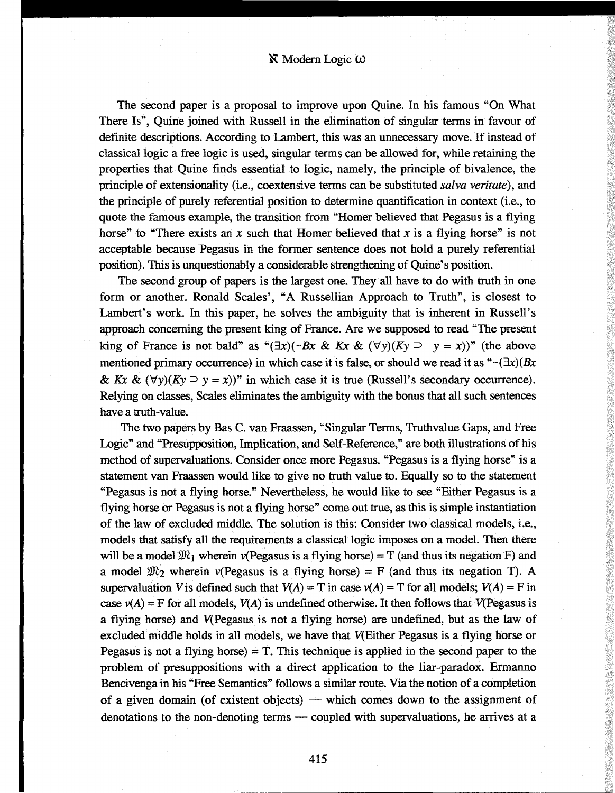# $\aleph$  Modern Logic  $\omega$

The second paper is a proposal to improve upon Quine. In his famous "On What There Is", Quine joined with Russell in the elimination of singular terms in favour of definite descriptions. According to Lambert, this was an unnecessary move. If instead of classical logic a free logic is used, singular terms can be allowed for, while retaining the properties that Quine finds essential to logic, namely, the principle of bivalence, the principle of extensionality (i.e., coextensive terms can be substituted *salva ventate),* and the principle of purely referential position to determine quantification in context (i.e., to quote the famous example, the transition from "Homer believed that Pegasus is a flying horse" to "There exists an x such that Homer believed that x is a flying horse" is not acceptable because Pegasus in the former sentence does not hold a purely referential position). This is unquestionably a considerable strengthening of Quine's position.

The second group of papers is the largest one. They all have to do with truth in one form or another. Ronald Scales', "A Russellian Approach to Truth", is closest to Lambert's work. In this paper, he solves the ambiguity that is inherent in Russell's approach concerning the present king of France. Are we supposed to read "The present king of France is not bald" as " $(\exists x)(\neg Bx \& Kx \& (\forall y)(Ky \supset y = x))$ " (the above mentioned primary occurrence) in which case it is false, or should we read it as  $\sqrt{2x}(Bx)$ *& Kx & (\fy)(Ky*  $\supset$  *y = x))*" in which case it is true (Russell's secondary occurrence). Relying on classes, Scales eliminates the ambiguity with the bonus that all such sentences have a truth-value.

The two papers by Bas С. van Fraassen, "Singular Terms, Truthvalue Gaps, and Free Logic" and "Presupposition, Implication, and Self-Reference," are both illustrations of his method of supervaluations. Consider once more Pegasus. "Pegasus is a flying horse" is a statement van Fraassen would like to give no truth value to. Equally so to the statement "Pegasus is not a flying horse." Nevertheless, he would like to see "Either Pegasus is a flying horse or Pegasus is not a flying horse" come out true, as this is simple instantiation of the law of excluded middle. The solution is this: Consider two classical models, i.e., models that satisfy all the requirements a classical logic imposes on a model. Then there will be a model  $\mathfrak{M}_1$  wherein v(Pegasus is a flying horse) = T (and thus its negation F) and a model  $\mathfrak{M}_2$  wherein v(Pegasus is a flying horse) = F (and thus its negation T). A supervaluation V is defined such that  $V(A) = T$  in case  $v(A) = T$  for all models;  $V(A) = F$  in case  $v(A) = F$  for all models,  $V(A)$  is undefined otherwise. It then follows that  $V(Pegasus is$ a flying horse) and V(Pegasus is not a flying horse) are undefined, but as the law of excluded middle holds in all models, we have that V(Either Pegasus is a flying horse or Pegasus is not a flying horse) = T. This technique is applied in the second paper to the problem of presuppositions with a direct application to the liar-paradox. Ermanno Bencivenga in his "Free Semantics" follows a similar route. Via the notion of a completion of a given domain (of existent objects) — which comes down to the assignment of denotations to the non-denoting terms — coupled with supervaluations, he arrives at a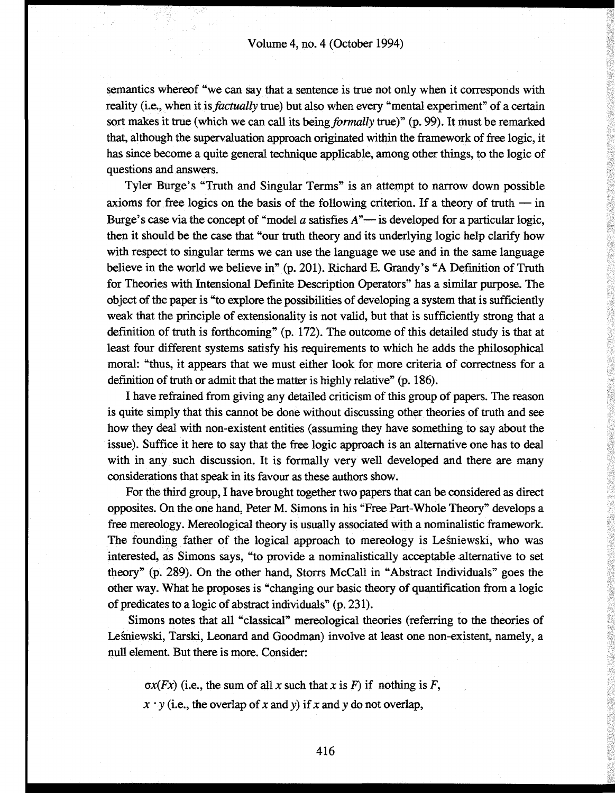semantics whereof "we can say that a sentence is true not only when it corresponds with reality (i.e., when it is *factually* true) but also when every "mental experiment" of a certain sort makes it true (which we can call its being *formally* true)" (p. 99). It must be remarked that, although the supervaluation approach originated within the framework of free logic, it has since become a quite general technique applicable, among other things, to the logic of questions and answers.

Tyler Bürge's "Truth and Singular Terms" is an attempt to narrow down possible axioms for free logics on the basis of the following criterion. If a theory of truth  $-$  in Burge's case via the concept of "model *a* satisfies A"— is developed for a particular logic, then it should be the case that "our truth theory and its underlying logic help clarify how with respect to singular terms we can use the language we use and in the same language believe in the world we believe in" (p. 201). Richard E. Grandy's "A Definition of Truth for Theories with Intensional Definite Description Operators" has a similar purpose. The object of the paper is "to explore the possibilities of developing a system that is sufficiently weak that the principle of extensionality is not valid, but that is sufficiently strong that a definition of truth is forthcoming" (p. 172). The outcome of this detailed study is that at least four different systems satisfy his requirements to which he adds the philosophical moral: "thus, it appears that we must either look for more criteria of correctness for a definition of truth or admit that the matter is highly relative" (p. 186).

I have refrained from giving any detailed criticism of this group of papers. The reason is quite simply that this cannot be done without discussing other theories of truth and see how they deal with non-existent entities (assuming they have something to say about the issue). Suffice it here to say that the free logic approach is an alternative one has to deal with in any such discussion. It is formally very well developed and there are many considerations that speak in its favour as these authors show.

For the third group, I have brought together two papers that can be considered as direct opposites. On the one hand, Peter M. Simons in his "Free Part-Whole Theory" develops a free mereology. Mereological theory is usually associated with a nominalistic framework. The founding father of the logical approach to mereology is Lesniewski, who was interested, as Simons says, "to provide a nominalistically acceptable alternative to set theory" (p. 289). On the other hand, Storrs McCall in "Abstract Individuals" goes the other way. What he proposes is "changing our basic theory of quantification from a logic of predicates to a logic of abstract individuals" (p. 231).

Simons notes that all "classical" mereological theories (referring to the theories of Lesniewski, Tarski, Leonard and Goodman) involve at least one non-existent, namely, a null element. But there is more. Consider:

 $\alpha x(Fx)$  (i.e., the sum of all x such that x is F) if nothing is F,

 $x \cdot y$  (i.e., the overlap of *x* and *y*) if *x* and *y* do not overlap,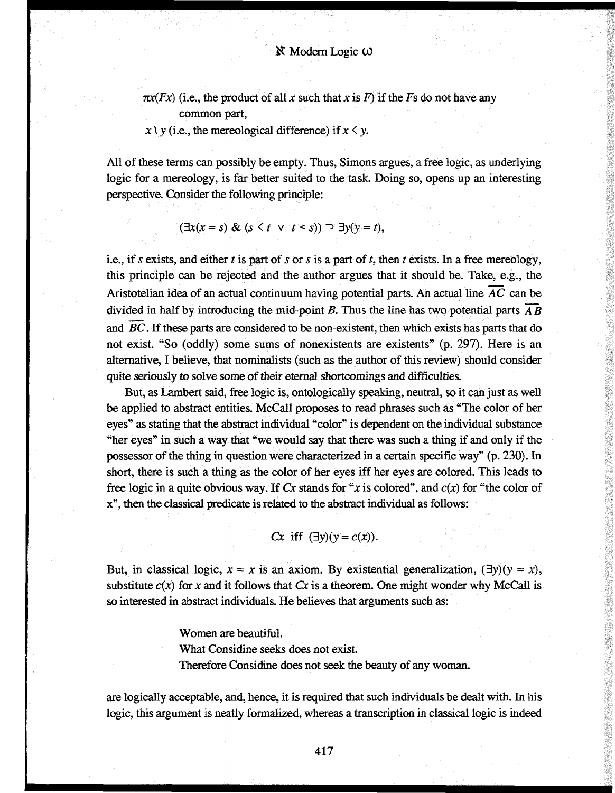$\pi x(Fx)$  (i.e., the product of all x such that x is F) if the Fs do not have any common part,

 $x \mid y$  (i.e., the mereological difference) if  $x \leq y$ .

All of these terms can possibly be empty. Thus, Simons argues, a free logic, as underlying logic for a mereology, is far better suited to the task. Doing so, opens up an interesting perspective. Consider the following principle:

$$
(\exists x(x = s) \& (s < t \lor t < s)) \supset \exists y(y = t),
$$

i.e., if *s* exists, and either *t* is part of *s* or *s* is a part of *t,* then *t* exists. In a free mereology, this principle can be rejected and the author argues that it should be. Take, e.g., the Aristotelian idea of an actual continuum having potential parts. An actual line *AC* can be divided in half by introducing the mid-point *B.* Thus the line has two potential parts *AB* and *ВС.* If these parts are considered to be non-existent, then which exists has parts that do not exist. "So (oddly) some sums of nonexistents are existents" (p. 297). Here is an alternative, I believe, that nominalists (such as the author of this review) should consider quite seriously to solve some of their eternal shortcomings and difficulties.

But, as Lambert said, free logic is, ontologically speaking, neutral, so it can just as well be applied to abstract entities. McCall proposes to read phrases such as "The color of her eyes" as stating that the abstract individual "color" is dependent on the individual substance "her eyes" in such a way that "we would say that there was such a thing if and only if the possessor of the thing in question were characterized in a certain specific way" (p. 230). In short, there is such a thing as the color of her eyes iff her eyes are colored. This leads to free logic in a quite obvious way. If Cx stands for "x is colored", and  $c(x)$  for "the color of x", then the classical predicate is related to the abstract individual as follows:

$$
Cx \text{ iff } (\exists y)(y = c(x)).
$$

But, in classical logic,  $x = x$  is an axiom. By existential generalization,  $(\exists y)(y = x)$ , substitute  $c(x)$  for x and it follows that  $Cx$  is a theorem. One might wonder why McCall is so interested in abstract individuals. He believes that arguments such as:

Women are beautiful.

What Considine seeks does not exist.

Therefore Considine does not seek the beauty of any woman.

are logically acceptable, and, hence, it is required that such individuals be dealt with. In his logic, this argument is neatly formalized, whereas a transcription in classical logic is indeed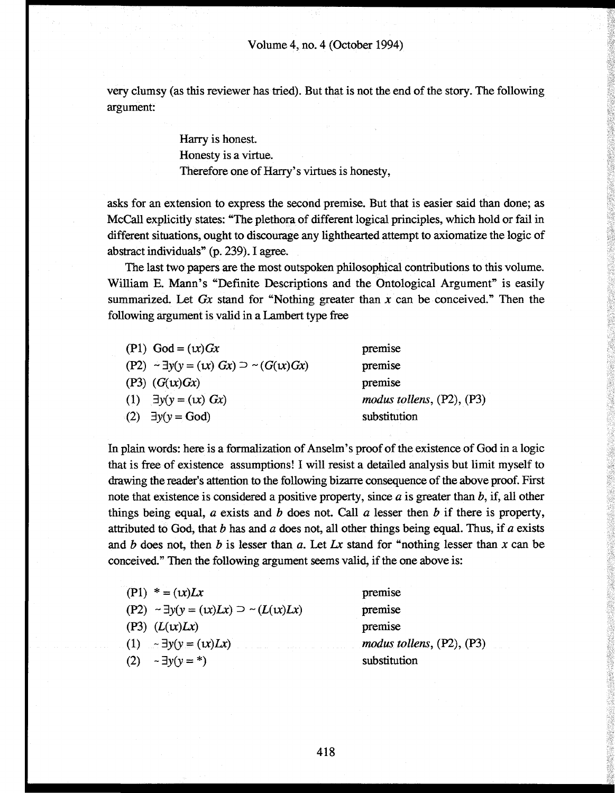very clumsy (as this reviewer has tried). But that is not the end of the story. The following argument:

> Harry is honest. Honesty is a virtue. Therefore one of Harry's virtues is honesty,

asks for an extension to express the second premise. But that is easier said than done; as McCall explicitly states: "The plethora of different logical principles, which hold or fail in different situations, ought to discourage any lighthearted attempt to axiomatize the logic of abstract individuals" (p. 239). I agree.

The last two papers are the most outspoken philosophical contributions to this volume. William E. Mann's "Definite Descriptions and the Ontological Argument" is easily summarized. Let *Gx* stand for "Nothing greater than *x* can be conceived." Then the following argument is valid in a Lambert type free

| $(P1) God = (x)$                                           | premise                        |
|------------------------------------------------------------|--------------------------------|
| $(P2) \sim \exists y(y = (1x) \ Gx) \supset \sim (G(x)Gx)$ | premise                        |
| $(P3)$ $(G(x)Gx)$                                          | premise                        |
| (1) $\exists y(y = (1x) \ Gx)$                             | modus tollens, $(P2)$ , $(P3)$ |
| $(2)$ $\exists y(y = God)$                                 | substitution                   |
|                                                            |                                |

In plain words: here is a formalization of Anselm's proof of the existence of God in a logic that is free of existence assumptions! I will resist a detailed analysis but limit myself to drawing the reader's attention to the following bizarre consequence of the above proof. First note that existence is considered a positive property, since *a* is greater than *b,* if, all other things being equal, *a* exists and *b* does not. Call *a* lesser then *b* if there is property, attributed to God, that *b* has and *a* does not, all other things being equal. Thus, if *a* exists and *b* does not, then *b* is lesser than *a.* Let *Lx* stand for "nothing lesser than *x* can be conceived." Then the following argument seems valid, if the one above is:

| $(P1) * = (x)Lx$                                       | premise                        |
|--------------------------------------------------------|--------------------------------|
| $(P2) \sim \exists y(y = (x)Lx) \supset \sim (L(x)Lx)$ | premise                        |
| (P3) $(L(x)Lx)$                                        | premise                        |
| (1) $- \exists y (y = (x) Lx)$                         | modus tollens, $(P2)$ , $(P3)$ |
| (2) $\sim \exists y(y = *)$                            | substitution                   |